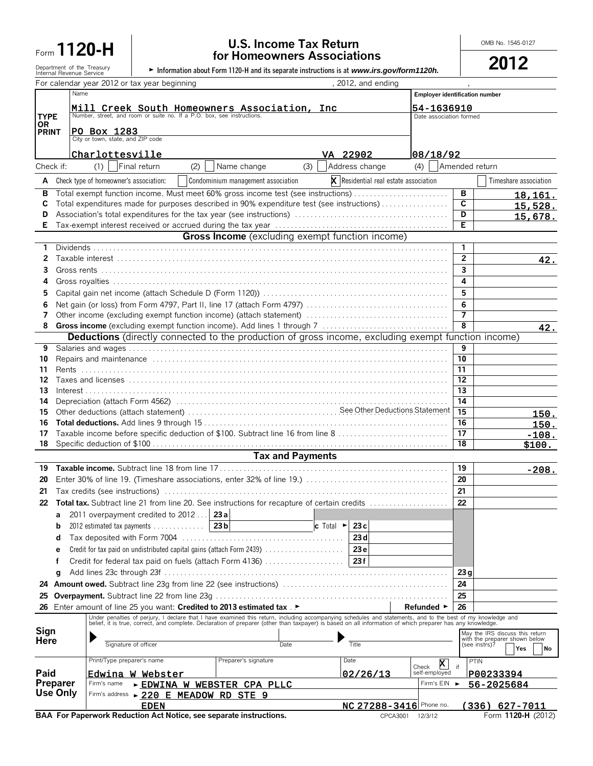## **Form 1120-H ombinered and the U.S. Income Tax Return**<br>**Form 1120-H for Homeowners Associations**

|                                                        | <b>TOF HUTTEOWITERS ASSOCIATIONS</b>                                                       | 2012 |
|--------------------------------------------------------|--------------------------------------------------------------------------------------------|------|
| Department of the Treasurv<br>Internal Revenue Service | • Information about Form 1120-H and its separate instructions is at www.irs.gov/form1120h. |      |

|                    |                                                                                                                      | Department of the Treasury<br>Internal Revenue Service |              |     |                                                                       |                         | Information about Form 1120-H and its separate instructions is at www.irs.gov/form1120h.                                                                                                                                       |                                                |                         | ZUIZ                                                             |
|--------------------|----------------------------------------------------------------------------------------------------------------------|--------------------------------------------------------|--------------|-----|-----------------------------------------------------------------------|-------------------------|--------------------------------------------------------------------------------------------------------------------------------------------------------------------------------------------------------------------------------|------------------------------------------------|-------------------------|------------------------------------------------------------------|
|                    |                                                                                                                      | For calendar year 2012 or tax year beginning           |              |     |                                                                       |                         | , 2012, and ending                                                                                                                                                                                                             |                                                |                         |                                                                  |
|                    | Name                                                                                                                 |                                                        |              |     |                                                                       |                         |                                                                                                                                                                                                                                | <b>Employer identification number</b>          |                         |                                                                  |
|                    | Mill Creek South Homeowners Association, Inc. Number, street, and room or suite no. If a P.O. box, see instructions. |                                                        |              |     |                                                                       |                         | 54-1636910                                                                                                                                                                                                                     |                                                |                         |                                                                  |
| <b>TYPE</b>        |                                                                                                                      |                                                        |              |     |                                                                       |                         |                                                                                                                                                                                                                                | Date association formed                        |                         |                                                                  |
| 0R<br><b>PRINT</b> | PO BOX 1283<br>City or town, state, and ZIP code                                                                     |                                                        |              |     |                                                                       |                         |                                                                                                                                                                                                                                |                                                |                         |                                                                  |
|                    |                                                                                                                      |                                                        |              |     |                                                                       |                         |                                                                                                                                                                                                                                |                                                |                         |                                                                  |
|                    |                                                                                                                      | Charlottesville                                        |              |     |                                                                       |                         | VA 22902                                                                                                                                                                                                                       | 08/18/92                                       |                         |                                                                  |
| Check if:          |                                                                                                                      | (1)                                                    | Final return | (2) | Name change                                                           | (3)                     | Address change                                                                                                                                                                                                                 | (4)                                            | Amended return          |                                                                  |
| A                  |                                                                                                                      | Check type of homeowner's association:                 |              |     | Condominium management association                                    |                         |                                                                                                                                                                                                                                | <b>x</b> Residential real estate association   |                         | Timeshare association                                            |
| в                  |                                                                                                                      |                                                        |              |     |                                                                       |                         | Total exempt function income. Must meet 60% gross income test (see instructions)                                                                                                                                               |                                                | в                       |                                                                  |
| С                  |                                                                                                                      |                                                        |              |     |                                                                       |                         |                                                                                                                                                                                                                                |                                                | C                       | <u>18,161.</u><br>15,528.                                        |
| D                  | Total expenditures made for purposes described in 90% expenditure test (see instructions)                            |                                                        |              |     |                                                                       | D                       | 15,678.                                                                                                                                                                                                                        |                                                |                         |                                                                  |
| Е                  |                                                                                                                      |                                                        |              |     |                                                                       |                         |                                                                                                                                                                                                                                |                                                | E.                      |                                                                  |
|                    |                                                                                                                      |                                                        |              |     |                                                                       |                         | Gross Income (excluding exempt function income)                                                                                                                                                                                |                                                |                         |                                                                  |
| 1                  |                                                                                                                      |                                                        |              |     |                                                                       |                         |                                                                                                                                                                                                                                |                                                | $\mathbf{1}$            |                                                                  |
| 2                  |                                                                                                                      |                                                        |              |     |                                                                       |                         |                                                                                                                                                                                                                                |                                                | $\overline{2}$          | 42.                                                              |
| 3                  |                                                                                                                      |                                                        |              |     |                                                                       |                         |                                                                                                                                                                                                                                |                                                | $\overline{\mathbf{3}}$ |                                                                  |
| 4                  |                                                                                                                      |                                                        |              |     |                                                                       |                         |                                                                                                                                                                                                                                |                                                | 4                       |                                                                  |
| 5                  |                                                                                                                      |                                                        |              |     |                                                                       |                         |                                                                                                                                                                                                                                |                                                | 5                       |                                                                  |
| 6<br>7             |                                                                                                                      |                                                        |              |     |                                                                       |                         |                                                                                                                                                                                                                                |                                                | 6<br>$\overline{7}$     |                                                                  |
| 8                  |                                                                                                                      |                                                        |              |     |                                                                       |                         |                                                                                                                                                                                                                                |                                                | $\overline{8}$          |                                                                  |
|                    |                                                                                                                      |                                                        |              |     |                                                                       |                         | <b>Deductions</b> (directly connected to the production of gross income, excluding exempt function income)                                                                                                                     |                                                |                         | 42.                                                              |
| 9                  |                                                                                                                      |                                                        |              |     |                                                                       |                         |                                                                                                                                                                                                                                |                                                | 9                       |                                                                  |
| 10                 |                                                                                                                      |                                                        |              |     |                                                                       |                         |                                                                                                                                                                                                                                |                                                | 10                      |                                                                  |
| 11                 |                                                                                                                      |                                                        |              |     |                                                                       |                         |                                                                                                                                                                                                                                |                                                | 11                      |                                                                  |
| 12                 |                                                                                                                      |                                                        |              |     |                                                                       |                         |                                                                                                                                                                                                                                |                                                | 12                      |                                                                  |
| 13                 |                                                                                                                      |                                                        |              |     |                                                                       |                         |                                                                                                                                                                                                                                |                                                | 13                      |                                                                  |
| 14<br>15           |                                                                                                                      |                                                        |              |     |                                                                       |                         |                                                                                                                                                                                                                                |                                                | 14<br>15                |                                                                  |
| 16                 |                                                                                                                      |                                                        |              |     |                                                                       |                         |                                                                                                                                                                                                                                |                                                | 16                      | 150.<br>150.                                                     |
| 17                 |                                                                                                                      |                                                        |              |     |                                                                       |                         | Taxable income before specific deduction of \$100. Subtract line 16 from line 8                                                                                                                                                |                                                | 17                      | $-108.$                                                          |
| 18                 |                                                                                                                      |                                                        |              |     |                                                                       |                         |                                                                                                                                                                                                                                |                                                | 18                      | \$100.                                                           |
|                    |                                                                                                                      |                                                        |              |     |                                                                       | <b>Tax and Payments</b> |                                                                                                                                                                                                                                |                                                |                         |                                                                  |
| 19                 |                                                                                                                      |                                                        |              |     |                                                                       |                         |                                                                                                                                                                                                                                |                                                | 19                      | $-208.$                                                          |
| 20                 |                                                                                                                      |                                                        |              |     |                                                                       |                         |                                                                                                                                                                                                                                |                                                | 20                      |                                                                  |
| 21                 |                                                                                                                      |                                                        |              |     |                                                                       |                         |                                                                                                                                                                                                                                |                                                | 21                      |                                                                  |
| 22                 |                                                                                                                      |                                                        |              |     |                                                                       |                         | <b>Total tax.</b> Subtract line 21 from line 20. See instructions for recapture of certain credits                                                                                                                             |                                                | 22                      |                                                                  |
|                    |                                                                                                                      | 2011 overpayment credited to 2012 $\dots$ 23 a         |              |     |                                                                       |                         |                                                                                                                                                                                                                                |                                                |                         |                                                                  |
| b                  |                                                                                                                      | 2012 estimated tax payments                            |              |     | 23 <sub>b</sub>                                                       |                         | 23c<br><b>c</b> Total $\blacktriangleright$                                                                                                                                                                                    |                                                |                         |                                                                  |
| d                  |                                                                                                                      |                                                        |              |     |                                                                       |                         | 23d                                                                                                                                                                                                                            |                                                |                         |                                                                  |
| e                  |                                                                                                                      |                                                        |              |     | Credit for tax paid on undistributed capital gains (attach Form 2439) |                         | 23 e                                                                                                                                                                                                                           |                                                |                         |                                                                  |
| f                  |                                                                                                                      |                                                        |              |     | Credit for federal tax paid on fuels (attach Form 4136)               |                         | 23f                                                                                                                                                                                                                            |                                                |                         |                                                                  |
| q                  |                                                                                                                      |                                                        |              |     |                                                                       |                         |                                                                                                                                                                                                                                |                                                | 23q                     |                                                                  |
| 24                 |                                                                                                                      |                                                        |              |     |                                                                       |                         |                                                                                                                                                                                                                                |                                                | 24                      |                                                                  |
| 25<br>26           |                                                                                                                      |                                                        |              |     | Enter amount of line 25 you want: Credited to 2013 estimated tax .    |                         |                                                                                                                                                                                                                                | Refunded ►                                     | 25<br>26                |                                                                  |
|                    |                                                                                                                      |                                                        |              |     |                                                                       |                         |                                                                                                                                                                                                                                |                                                |                         |                                                                  |
| Sign               |                                                                                                                      |                                                        |              |     |                                                                       |                         | Under penalties of perjury, I declare that I have examined this return, including accompanying schedules and statements, and to the best of my knowledge and belief, it is true, correct, and complete. Declaration of prepare |                                                |                         |                                                                  |
| Here               |                                                                                                                      |                                                        |              |     |                                                                       |                         |                                                                                                                                                                                                                                |                                                |                         | May the IRS discuss this return<br>with the preparer shown below |
|                    |                                                                                                                      | Signature of officer                                   |              |     |                                                                       | Date                    | Title                                                                                                                                                                                                                          |                                                | (see instrs)?           | Yes<br>No                                                        |
|                    |                                                                                                                      | Print/Type preparer's name                             |              |     | Preparer's signature                                                  |                         | Date                                                                                                                                                                                                                           | $\mathbf{x}$<br>Check                          | PTIN<br>if              |                                                                  |
| Paid               |                                                                                                                      | Edwina W Webster                                       |              |     |                                                                       |                         | 02/26/13                                                                                                                                                                                                                       | self-employed                                  |                         | P00233394                                                        |
| Preparer           |                                                                                                                      | Firm's name                                            |              |     | <b>EDWINA W WEBSTER CPA PLLC</b>                                      |                         |                                                                                                                                                                                                                                | Firm's EIN                                     |                         | 56-2025684                                                       |
| Use Only           |                                                                                                                      |                                                        |              |     | Firm's address > 220 E MEADOW RD STE 9                                |                         |                                                                                                                                                                                                                                |                                                |                         |                                                                  |
|                    |                                                                                                                      |                                                        | <b>EDEN</b>  |     | BAA For Paperwork Reduction Act Notice, see separate instructions.    |                         |                                                                                                                                                                                                                                | NC 27288-3416 Phone no.<br>CPCA3001<br>12/3/12 |                         | $(336)$ 627-7011<br>Form 1120-H (2012)                           |